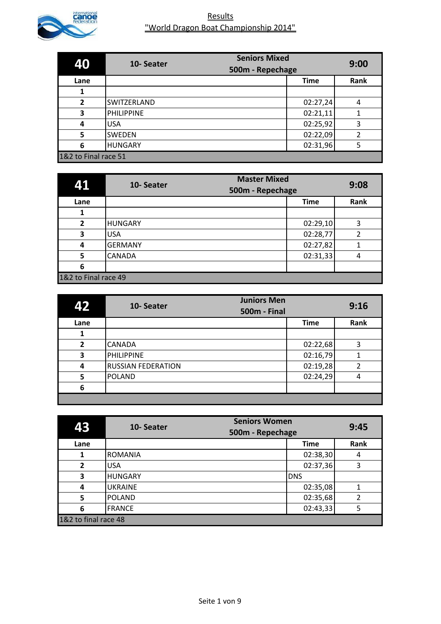

| 40                   | 10-Seater         | <b>Seniors Mixed</b><br>500m - Repechage | 9:00 |
|----------------------|-------------------|------------------------------------------|------|
| Lane                 |                   | <b>Time</b>                              | Rank |
|                      |                   |                                          |      |
| $\overline{2}$       | SWITZERLAND       | 02:27,24                                 | 4    |
| 3                    | <b>PHILIPPINE</b> | 02:21,11                                 |      |
| 4                    | <b>USA</b>        | 02:25,92                                 | 3    |
| 5                    | <b>SWEDEN</b>     | 02:22,09                                 | 2    |
| 6                    | <b>HUNGARY</b>    | 02:31,96                                 | 5    |
| 1&2 to Final race 51 |                   |                                          |      |

| 41                   | 10-Seater      | <b>Master Mixed</b><br>500m - Repechage | 9:08 |
|----------------------|----------------|-----------------------------------------|------|
| Lane                 |                | <b>Time</b>                             | Rank |
|                      |                |                                         |      |
| $\overline{2}$       | <b>HUNGARY</b> | 02:29,10                                | 3    |
| 3                    | <b>USA</b>     | 02:28,77                                | 2    |
| 4                    | <b>GERMANY</b> | 02:27,82                                |      |
| 5                    | <b>CANADA</b>  | 02:31,33                                | 4    |
| 6                    |                |                                         |      |
| 1&2 to Final race 49 |                |                                         |      |

| 42             | <b>Juniors Men</b><br>10-Seater<br><b>500m - Final</b> |             | 9:16 |
|----------------|--------------------------------------------------------|-------------|------|
| Lane           |                                                        | <b>Time</b> | Rank |
|                |                                                        |             |      |
| $\overline{2}$ | <b>CANADA</b>                                          | 02:22,68    | 3    |
| 3              | PHILIPPINE                                             | 02:16,79    |      |
| 4              | <b>RUSSIAN FEDERATION</b>                              | 02:19,28    | 2    |
| 5              | <b>POLAND</b>                                          | 02:24,29    | 4    |
| 6              |                                                        |             |      |
|                |                                                        |             |      |

| 43                   | 10-Seater      | <b>Seniors Women</b><br>500m - Repechage | 9:45 |
|----------------------|----------------|------------------------------------------|------|
| Lane                 |                | <b>Time</b>                              | Rank |
|                      | <b>ROMANIA</b> | 02:38,30                                 | 4    |
| $\overline{2}$       | <b>USA</b>     | 02:37,36                                 | 3    |
| 3                    | <b>HUNGARY</b> | <b>DNS</b>                               |      |
| 4                    | <b>UKRAINE</b> | 02:35,08                                 |      |
| 5                    | <b>POLAND</b>  | 02:35,68                                 | 2    |
| 6                    | <b>FRANCE</b>  | 02:43,33                                 | 5    |
| 1&2 to final race 48 |                |                                          |      |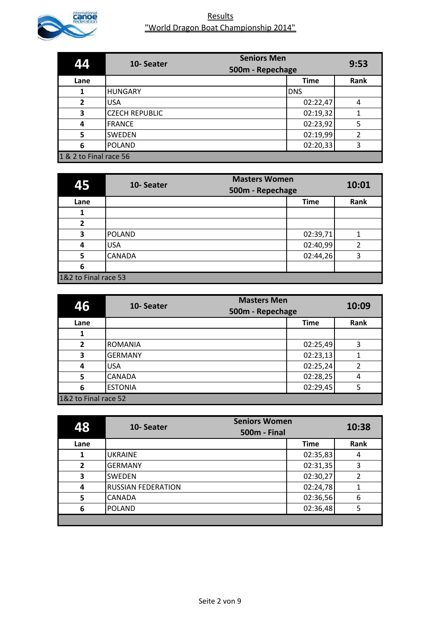

| 44                     | 10-Seater             | <b>Seniors Men</b><br>500m - Repechage | 9:53 |
|------------------------|-----------------------|----------------------------------------|------|
| Lane                   |                       | <b>Time</b>                            | Rank |
|                        | <b>HUNGARY</b>        | <b>DNS</b>                             |      |
| $\overline{2}$         | <b>USA</b>            | 02:22,47                               | 4    |
| 3                      | <b>CZECH REPUBLIC</b> | 02:19,32                               | 1    |
| 4                      | <b>FRANCE</b>         | 02:23,92                               | 5    |
| 5                      | <b>SWEDEN</b>         | 02:19,99                               | 2    |
| 6                      | <b>POLAND</b>         | 02:20,33                               | 3    |
| 1 & 2 to Final race 56 |                       |                                        |      |

| 45                   | 10-Seater     | <b>Masters Women</b><br>500m - Repechage |             | 10:01         |
|----------------------|---------------|------------------------------------------|-------------|---------------|
| Lane                 |               |                                          | <b>Time</b> | Rank          |
|                      |               |                                          |             |               |
| $\overline{2}$       |               |                                          |             |               |
| 3                    | <b>POLAND</b> |                                          | 02:39,71    |               |
| 4                    | <b>USA</b>    |                                          | 02:40,99    | $\mathfrak z$ |
| 5                    | <b>CANADA</b> |                                          | 02:44,26    | 3             |
| 6                    |               |                                          |             |               |
| 1&2 to Final race 53 |               |                                          |             |               |

| 46                   | 10-Seater      | <b>Masters Men</b><br>500m - Repechage | 10:09 |
|----------------------|----------------|----------------------------------------|-------|
| Lane                 |                | <b>Time</b>                            | Rank  |
|                      |                |                                        |       |
| $\overline{2}$       | <b>ROMANIA</b> | 02:25,49                               | 3     |
| 3                    | <b>GERMANY</b> | 02:23,13                               |       |
| 4                    | <b>USA</b>     | 02:25,24                               | 2     |
| 5                    | <b>CANADA</b>  | 02:28,25                               | 4     |
| 6                    | <b>ESTONIA</b> | 02:29,45                               |       |
| 1&2 to Final race 52 |                |                                        |       |

| 48             | 10-Seater                 | <b>Seniors Women</b><br><b>500m - Final</b> | 10:38 |
|----------------|---------------------------|---------------------------------------------|-------|
| Lane           |                           | <b>Time</b>                                 | Rank  |
|                | <b>UKRAINE</b>            | 02:35,83                                    | 4     |
| $\overline{2}$ | <b>GERMANY</b>            | 02:31,35                                    | 3     |
| 3              | <b>SWEDEN</b>             | 02:30,27                                    | 2     |
| 4              | <b>RUSSIAN FEDERATION</b> | 02:24,78                                    |       |
| 5              | <b>CANADA</b>             | 02:36,56                                    | 6     |
| 6              | <b>POLAND</b>             | 02:36,48                                    | 5     |
|                |                           |                                             |       |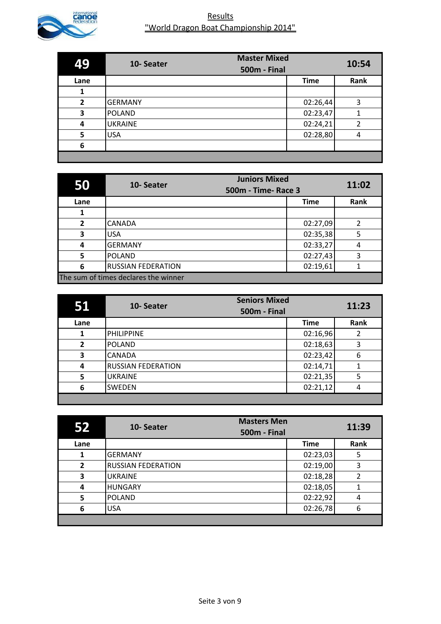

| 49             | 10-Seater      | <b>Master Mixed</b><br><b>500m - Final</b> | 10:54 |
|----------------|----------------|--------------------------------------------|-------|
| Lane           |                | <b>Time</b>                                | Rank  |
|                |                |                                            |       |
| $\overline{2}$ | <b>GERMANY</b> | 02:26,44                                   | 3     |
| 3              | <b>POLAND</b>  | 02:23,47                                   |       |
| 4              | <b>UKRAINE</b> | 02:24,21                                   | 2     |
| 5              | <b>USA</b>     | 02:28,80                                   | 4     |
| 6              |                |                                            |       |
|                |                |                                            |       |

| 50             | <b>Juniors Mixed</b><br>10-Seater<br><b>500m - Time- Race 3</b> |             | 11:02 |
|----------------|-----------------------------------------------------------------|-------------|-------|
| Lane           |                                                                 | <b>Time</b> | Rank  |
|                |                                                                 |             |       |
| $\overline{2}$ | <b>CANADA</b>                                                   | 02:27,09    | 2     |
| 3              | <b>USA</b>                                                      | 02:35,38    | 5     |
| 4              | <b>GERMANY</b>                                                  | 02:33,27    | 4     |
| 5              | <b>POLAND</b>                                                   | 02:27,43    | 3     |
| 6              | <b>RUSSIAN FEDERATION</b>                                       | 02:19,61    |       |
|                | The sum of times declares the winner                            |             |       |

|                | <b>Seniors Mixed</b><br>10-Seater<br>500m - Final |             | 11:23 |
|----------------|---------------------------------------------------|-------------|-------|
| Lane           |                                                   | <b>Time</b> | Rank  |
|                | <b>PHILIPPINE</b>                                 | 02:16,96    | 2     |
| $\overline{2}$ | <b>POLAND</b>                                     | 02:18,63    | 3     |
| 3              | <b>CANADA</b>                                     | 02:23,42    | 6     |
| 4              | <b>RUSSIAN FEDERATION</b>                         | 02:14,71    | 1     |
| 5              | <b>UKRAINE</b>                                    | 02:21,35    | 5     |
| 6              | <b>SWEDEN</b>                                     | 02:21,12    | 4     |
|                |                                                   |             |       |

| 52             | <b>Masters Men</b><br>10-Seater<br><b>500m - Final</b> |             | 11:39 |
|----------------|--------------------------------------------------------|-------------|-------|
| Lane           |                                                        | <b>Time</b> | Rank  |
|                | <b>GERMANY</b>                                         | 02:23,03    | 5     |
| $\overline{2}$ | <b>RUSSIAN FEDERATION</b>                              | 02:19,00    | 3     |
| 3              | <b>UKRAINE</b>                                         | 02:18,28    | 2     |
| 4              | <b>HUNGARY</b>                                         | 02:18,05    |       |
| 5              | <b>POLAND</b>                                          | 02:22,92    | 4     |
| 6              | <b>USA</b>                                             | 02:26,78    | 6     |
|                |                                                        |             |       |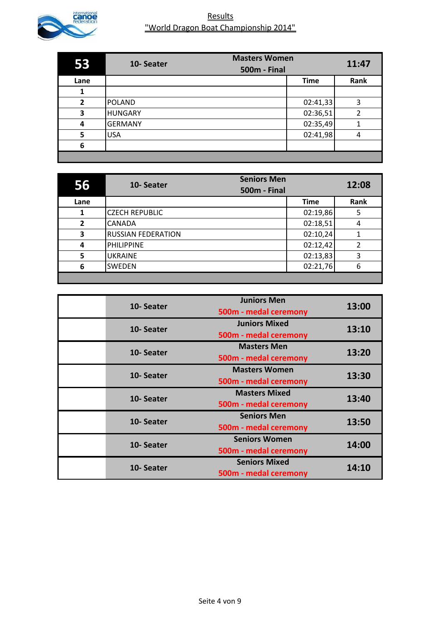

| 53   | 10-Seater      | <b>Masters Women</b><br><b>500m - Final</b> | 11:47 |
|------|----------------|---------------------------------------------|-------|
| Lane |                | <b>Time</b>                                 | Rank  |
|      |                |                                             |       |
| 2    | <b>POLAND</b>  | 02:41,33                                    | 3     |
| 3    | <b>HUNGARY</b> | 02:36,51                                    | 2     |
| 4    | <b>GERMANY</b> | 02:35,49                                    | 1     |
| 5    | <b>USA</b>     | 02:41,98                                    | 4     |
| 6    |                |                                             |       |
|      |                |                                             |       |

| 56             | 10-Seater                 | <b>Seniors Men</b><br><b>500m - Final</b> |             | 12:08          |
|----------------|---------------------------|-------------------------------------------|-------------|----------------|
| Lane           |                           |                                           | <b>Time</b> | Rank           |
|                | <b>CZECH REPUBLIC</b>     |                                           | 02:19,86    | 5              |
| $\overline{2}$ | <b>CANADA</b>             |                                           | 02:18,51    | 4              |
| 3              | <b>RUSSIAN FEDERATION</b> |                                           | 02:10,24    |                |
| 4              | <b>PHILIPPINE</b>         |                                           | 02:12,42    | $\overline{2}$ |
| 5              | <b>UKRAINE</b>            |                                           | 02:13,83    | 3              |
| 6              | <b>SWEDEN</b>             |                                           | 02:21,76    | 6              |
|                |                           |                                           |             |                |

| 10-Seater | <b>Juniors Men</b><br>500m - medal ceremony   | 13:00 |
|-----------|-----------------------------------------------|-------|
| 10-Seater | <b>Juniors Mixed</b><br>500m - medal ceremony | 13:10 |
| 10-Seater | <b>Masters Men</b><br>500m - medal ceremony   | 13:20 |
| 10-Seater | <b>Masters Women</b><br>500m - medal ceremony | 13:30 |
| 10-Seater | <b>Masters Mixed</b><br>500m - medal ceremony | 13:40 |
| 10-Seater | <b>Seniors Men</b><br>500m - medal ceremony   | 13:50 |
| 10-Seater | <b>Seniors Women</b><br>500m - medal ceremony | 14:00 |
| 10-Seater | <b>Seniors Mixed</b><br>500m - medal ceremony | 14:10 |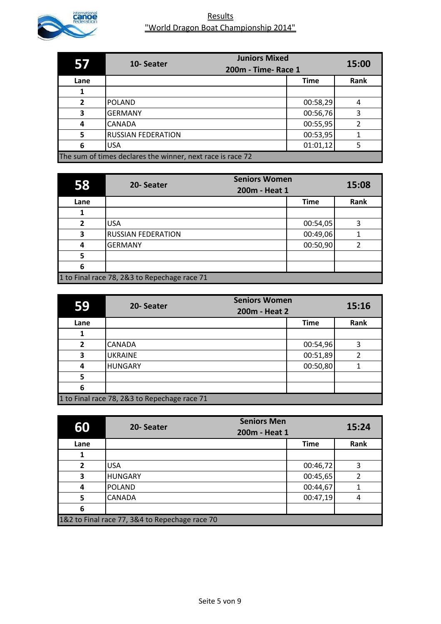

|              | 10-Seater                                                  | <b>Juniors Mixed</b> | 15:00 |
|--------------|------------------------------------------------------------|----------------------|-------|
|              |                                                            | 200m - Time- Race 1  |       |
| Lane         |                                                            | <b>Time</b>          | Rank  |
|              |                                                            |                      |       |
| $\mathbf{z}$ | <b>POLAND</b>                                              | 00:58,29             | 4     |
| 3            | <b>GERMANY</b>                                             | 00:56,76             | 3     |
| 4            | CANADA                                                     | 00:55,95             | 2     |
| 5            | <b>RUSSIAN FEDERATION</b>                                  | 00:53,95             |       |
| 6            | <b>USA</b>                                                 | 01:01,12             | 5     |
|              | The sum of times declares the winner, next race is race 72 |                      |       |

| 58             | 20-Seater                                    | <b>Seniors Women</b><br>200m - Heat 1 | 15:08 |
|----------------|----------------------------------------------|---------------------------------------|-------|
| Lane           |                                              | <b>Time</b>                           | Rank  |
|                |                                              |                                       |       |
| $\overline{2}$ | <b>USA</b>                                   | 00:54,05                              | 3     |
| 3              | <b>RUSSIAN FEDERATION</b>                    | 00:49,06                              |       |
| 4              | <b>GERMANY</b>                               | 00:50,90                              |       |
| 5              |                                              |                                       |       |
| 6              |                                              |                                       |       |
|                | 1 to Final race 78, 2&3 to Repechage race 71 |                                       |       |

| 59             | 20-Seater                                    | <b>Seniors Women</b><br>200m - Heat 2 | 15:16 |
|----------------|----------------------------------------------|---------------------------------------|-------|
| Lane           |                                              | <b>Time</b>                           | Rank  |
|                |                                              |                                       |       |
| $\overline{2}$ | <b>CANADA</b>                                | 00:54,96                              | 3     |
| 3              | <b>UKRAINE</b>                               | 00:51,89                              |       |
| 4              | <b>HUNGARY</b>                               | 00:50,80                              |       |
| 5              |                                              |                                       |       |
| 6              |                                              |                                       |       |
|                | 1 to Final race 78, 2&3 to Repechage race 71 |                                       |       |

| 60             | 20-Seater                                      | <b>Seniors Men</b><br>200m - Heat 1 | 15:24          |
|----------------|------------------------------------------------|-------------------------------------|----------------|
| Lane           |                                                | <b>Time</b>                         | Rank           |
|                |                                                |                                     |                |
| $\overline{2}$ | <b>USA</b>                                     | 00:46,72                            | 3              |
| 3              | <b>HUNGARY</b>                                 | 00:45,65                            | $\overline{2}$ |
| 4              | <b>POLAND</b>                                  | 00:44,67                            |                |
| 5              | <b>CANADA</b>                                  | 00:47,19                            | 4              |
| 6              |                                                |                                     |                |
|                | 1&2 to Final race 77, 3&4 to Repechage race 70 |                                     |                |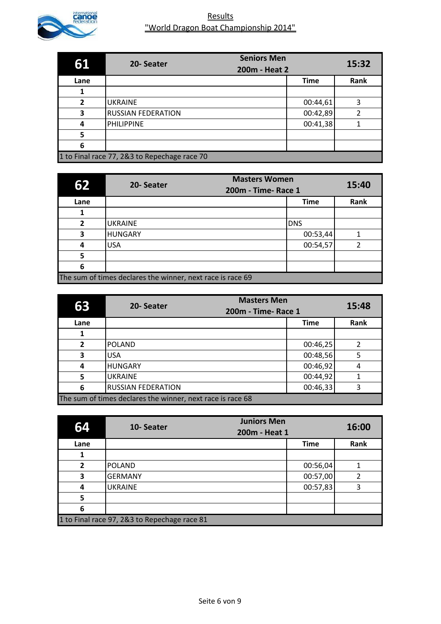

| 61             | 20-Seater                                    | <b>Seniors Men</b><br>200m - Heat 2 | 15:32 |
|----------------|----------------------------------------------|-------------------------------------|-------|
| Lane           |                                              | <b>Time</b>                         | Rank  |
|                |                                              |                                     |       |
| $\overline{2}$ | <b>UKRAINE</b>                               | 00:44,61                            | 3     |
| 3              | <b>RUSSIAN FEDERATION</b>                    | 00:42,89                            | 2     |
| 4              | <b>PHILIPPINE</b>                            | 00:41,38                            |       |
| 5              |                                              |                                     |       |
| 6              |                                              |                                     |       |
|                | 1 to Final race 77, 2&3 to Repechage race 70 |                                     |       |

| 62           | <b>Masters Women</b><br>20-Seater<br>200m - Time- Race 1   |             | 15:40 |
|--------------|------------------------------------------------------------|-------------|-------|
| Lane         |                                                            | <b>Time</b> | Rank  |
|              |                                                            |             |       |
| $\mathbf{z}$ | <b>UKRAINE</b>                                             | <b>DNS</b>  |       |
| 3            | <b>HUNGARY</b>                                             | 00:53,44    |       |
| 4            | <b>USA</b>                                                 | 00:54,57    |       |
| 5            |                                                            |             |       |
| 6            |                                                            |             |       |
|              | The sum of times declares the winner, next race is race 69 |             |       |

| 63           | <b>Masters Men</b><br>20-Seater<br>200m - Time- Race 1     |             | 15:48 |
|--------------|------------------------------------------------------------|-------------|-------|
| Lane         |                                                            | <b>Time</b> | Rank  |
|              |                                                            |             |       |
| $\mathbf{z}$ | POLAND                                                     | 00:46,25    | 2     |
| 3            | <b>USA</b>                                                 | 00:48,56    | 5     |
| 4            | <b>HUNGARY</b>                                             | 00:46,92    | 4     |
| 5            | <b>UKRAINE</b>                                             | 00:44,92    |       |
| 6            | <b>RUSSIAN FEDERATION</b>                                  | 00:46,33    | 3     |
|              | The sum of times declares the winner, next race is race 68 |             |       |

| 64             | 10-Seater                                    | <b>Juniors Men</b><br>200m - Heat 1 | 16:00 |
|----------------|----------------------------------------------|-------------------------------------|-------|
| Lane           |                                              | <b>Time</b>                         | Rank  |
|                |                                              |                                     |       |
| $\overline{2}$ | <b>POLAND</b>                                | 00:56,04                            |       |
| 3              | <b>GERMANY</b>                               | 00:57,00                            | 2     |
| 4              | <b>UKRAINE</b>                               | 00:57,83                            | 3     |
| 5              |                                              |                                     |       |
| 6              |                                              |                                     |       |
|                | 1 to Final race 97, 2&3 to Repechage race 81 |                                     |       |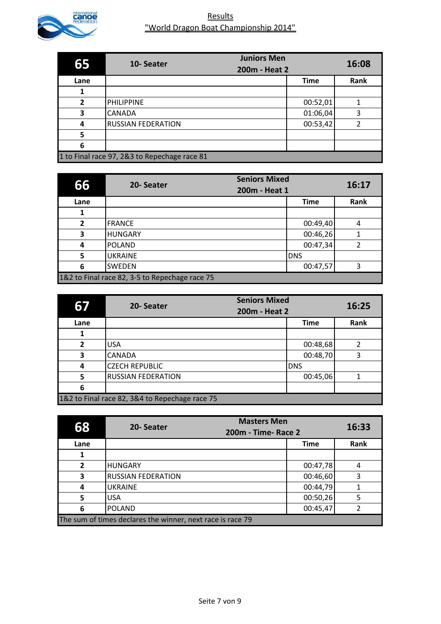

| 65             | 10-Seater                                    | <b>Juniors Men</b><br>200m - Heat 2 | 16:08 |
|----------------|----------------------------------------------|-------------------------------------|-------|
| Lane           |                                              | <b>Time</b>                         | Rank  |
|                |                                              |                                     |       |
| $\overline{2}$ | <b>PHILIPPINE</b>                            | 00:52,01                            |       |
| 3              | <b>CANADA</b>                                | 01:06,04                            | 3     |
| 4              | <b>RUSSIAN FEDERATION</b>                    | 00:53,42                            | 2     |
| 5              |                                              |                                     |       |
| 6              |                                              |                                     |       |
|                | 1 to Final race 97, 2&3 to Repechage race 81 |                                     |       |

| 66             | 20-Seater                                      | <b>Seniors Mixed</b><br>200m - Heat 1 | 16:17 |
|----------------|------------------------------------------------|---------------------------------------|-------|
| Lane           |                                                | <b>Time</b>                           | Rank  |
|                |                                                |                                       |       |
| $\overline{2}$ | <b>FRANCE</b>                                  | 00:49,40                              | 4     |
| 3              | <b>HUNGARY</b>                                 | 00:46,26                              |       |
| 4              | <b>POLAND</b>                                  | 00:47,34                              | 2     |
| 5              | <b>UKRAINE</b>                                 | <b>DNS</b>                            |       |
| 6              | <b>SWEDEN</b>                                  | 00:47,57                              | ς     |
|                | 1&2 to Final race 82, 3-5 to Repechage race 75 |                                       |       |

| 67             | 20-Seater                                      | <b>Seniors Mixed</b><br>200m - Heat 2 | 16:25 |
|----------------|------------------------------------------------|---------------------------------------|-------|
| Lane           |                                                | <b>Time</b>                           | Rank  |
|                |                                                |                                       |       |
| $\overline{2}$ | <b>USA</b>                                     | 00:48,68                              | 2     |
| 3              | <b>CANADA</b>                                  | 00:48,70                              | 3     |
| 4              | <b>CZECH REPUBLIC</b>                          | <b>DNS</b>                            |       |
| 5              | <b>RUSSIAN FEDERATION</b>                      | 00:45,06                              |       |
| 6              |                                                |                                       |       |
|                | 1&2 to Final race 82, 3&4 to Repechage race 75 |                                       |       |

| 68                                                         | <b>Masters Men</b><br>20-Seater<br>200m - Time- Race 2 |             | 16:33 |
|------------------------------------------------------------|--------------------------------------------------------|-------------|-------|
| Lane                                                       |                                                        | <b>Time</b> | Rank  |
|                                                            |                                                        |             |       |
| $\overline{2}$                                             | <b>HUNGARY</b>                                         | 00:47,78    | 4     |
| 3                                                          | <b>RUSSIAN FEDERATION</b>                              | 00:46,60    | 3     |
| 4                                                          | <b>UKRAINE</b>                                         | 00:44,79    |       |
| 5                                                          | <b>USA</b>                                             | 00:50,26    | 5     |
| 6                                                          | <b>POLAND</b>                                          | 00:45,47    | າ     |
| The sum of times declares the winner, next race is race 79 |                                                        |             |       |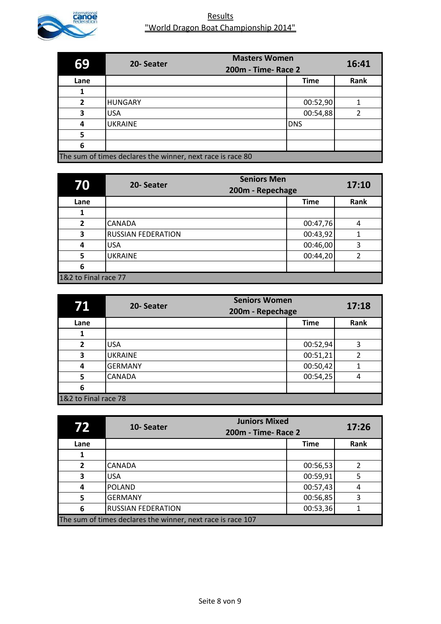

| 69                                                         | <b>Masters Women</b><br>20-Seater |             | 16:41 |
|------------------------------------------------------------|-----------------------------------|-------------|-------|
|                                                            | 200m - Time- Race 2               |             |       |
| Lane                                                       |                                   | <b>Time</b> | Rank  |
|                                                            |                                   |             |       |
| $\overline{2}$                                             | <b>HUNGARY</b>                    | 00:52,90    |       |
| 3                                                          | <b>USA</b>                        | 00:54,88    |       |
| 4                                                          | <b>UKRAINE</b>                    | <b>DNS</b>  |       |
| 5                                                          |                                   |             |       |
| 6                                                          |                                   |             |       |
| The sum of times declares the winner, next race is race 80 |                                   |             |       |

| 70                   | <b>Seniors Men</b><br>20-Seater<br>200m - Repechage |             | 17:10 |
|----------------------|-----------------------------------------------------|-------------|-------|
| Lane                 |                                                     | <b>Time</b> | Rank  |
|                      |                                                     |             |       |
| $\overline{2}$       | <b>CANADA</b>                                       | 00:47,76    | 4     |
| 3                    | <b>RUSSIAN FEDERATION</b>                           | 00:43,92    |       |
| 4                    | <b>USA</b>                                          | 00:46,00    | 3     |
| 5                    | <b>UKRAINE</b>                                      | 00:44,20    | 2     |
| 6                    |                                                     |             |       |
| 1&2 to Final race 77 |                                                     |             |       |

| 71                   | 20-Seater      | <b>Seniors Women</b><br>200m - Repechage | 17:18 |
|----------------------|----------------|------------------------------------------|-------|
| Lane                 |                | <b>Time</b>                              | Rank  |
|                      |                |                                          |       |
| $\overline{2}$       | <b>USA</b>     | 00:52,94                                 | 3     |
| 3                    | <b>UKRAINE</b> | 00:51,21                                 | 2     |
| 4                    | <b>GERMANY</b> | 00:50,42                                 |       |
| 5                    | <b>CANADA</b>  | 00:54,25                                 | 4     |
| 6                    |                |                                          |       |
| 1&2 to Final race 78 |                |                                          |       |

| 72                                                          | <b>Juniors Mixed</b><br>10-Seater<br>200m - Time- Race 2 |             | 17:26 |
|-------------------------------------------------------------|----------------------------------------------------------|-------------|-------|
| Lane                                                        |                                                          | <b>Time</b> | Rank  |
|                                                             |                                                          |             |       |
| 2                                                           | <b>CANADA</b>                                            | 00:56,53    | 2     |
| 3                                                           | <b>USA</b>                                               | 00:59,91    | 5     |
| 4                                                           | <b>POLAND</b>                                            | 00:57,43    | 4     |
| 5                                                           | <b>GERMANY</b>                                           | 00:56,85    | 3     |
| 6                                                           | <b>RUSSIAN FEDERATION</b>                                | 00:53,36    |       |
| The sum of times declares the winner, next race is race 107 |                                                          |             |       |